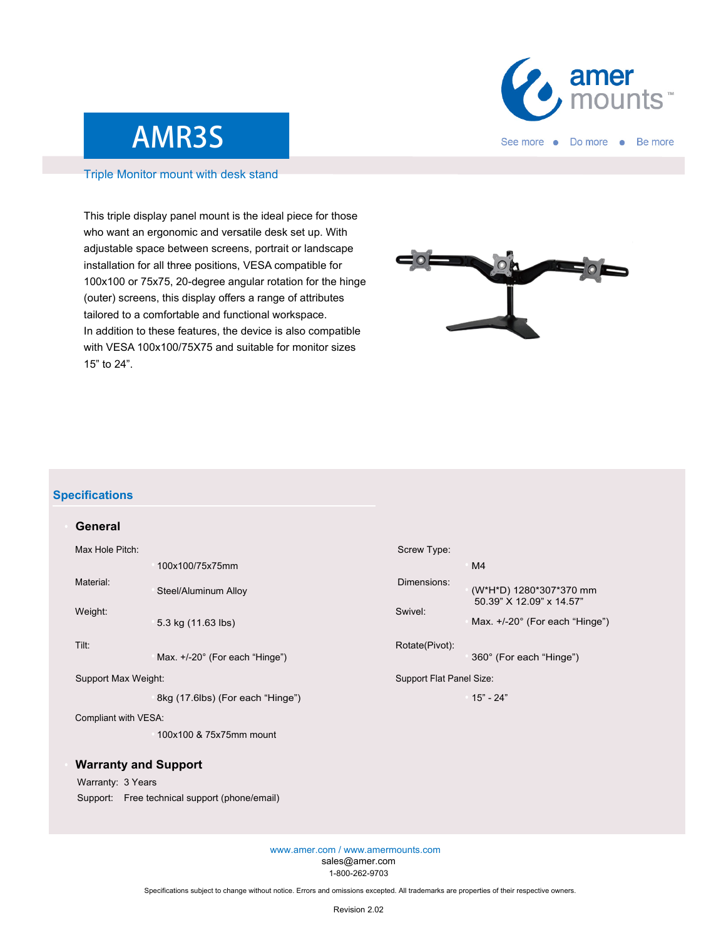

## AMR3S

#### Triple Monitor mount with desk stand

This triple display panel mount is the ideal piece for those who want an ergonomic and versatile desk set up. With adjustable space between screens, portrait or landscape installation for all three positions, VESA compatible for 100x100 or 75x75, 20-degree angular rotation for the hinge (outer) screens, this display offers a range of attributes tailored to a comfortable and functional workspace. In addition to these features, the device is also compatible with VESA 100x100/75X75 and suitable for monitor sizes 15" to 24".



#### **Specifications**

| General              |                                  |                          |                                                                                                |
|----------------------|----------------------------------|--------------------------|------------------------------------------------------------------------------------------------|
| Max Hole Pitch:      |                                  | Screw Type:              |                                                                                                |
|                      | 100x100/75x75mm                  |                          | M <sub>4</sub>                                                                                 |
| Material:            | Steel/Aluminum Alloy             | Dimensions:              | (W*H*D) 1280*307*370 mm<br>50.39" X 12.09" x 14.57"<br>Max. $+/-20^{\circ}$ (For each "Hinge") |
| Weight:              | 5.3 kg (11.63 lbs)               | Swivel:                  |                                                                                                |
| Tilt:                | Max. +/-20° (For each "Hinge")   | Rotate(Pivot):           | 360° (For each "Hinge")                                                                        |
| Support Max Weight:  |                                  | Support Flat Panel Size: |                                                                                                |
|                      | 8kg (17.6lbs) (For each "Hinge") |                          | $15" - 24"$                                                                                    |
| Compliant with VESA: |                                  |                          |                                                                                                |

### **Warranty and Support**

#### Warranty: 3 Years

Support: Free technical support (phone/email)

100x100 & 75x75mm mount

www.amer.com / www.amermounts.com sales@amer.com 1-800-262-9703

Specifications subject to change without notice. Errors and omissions excepted. All trademarks are properties of their respective owners.